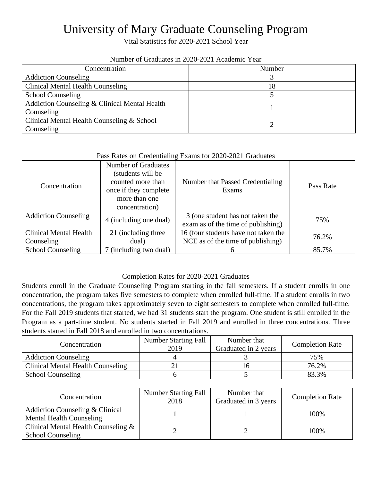## University of Mary Graduate Counseling Program

Vital Statistics for 2020-2021 School Year

| $11001$ of Organical III 2020 2021 Transmite Team |        |  |  |
|---------------------------------------------------|--------|--|--|
| Concentration                                     | Number |  |  |
| <b>Addiction Counseling</b>                       |        |  |  |
| Clinical Mental Health Counseling                 | 18     |  |  |
| <b>School Counseling</b>                          |        |  |  |
| Addiction Counseling & Clinical Mental Health     |        |  |  |
| Counseling                                        |        |  |  |
| Clinical Mental Health Counseling & School        |        |  |  |
| Counseling                                        |        |  |  |

## Number of Graduates in 2020-2021 Academic Year

## Pass Rates on Credentialing Exams for 2020-2021 Graduates

| Concentration                               | <b>Number of Graduates</b><br>(students will be<br>counted more than<br>once if they complete<br>more than one<br>concentration) | Number that Passed Credentialing<br>Exams                                 | Pass Rate |
|---------------------------------------------|----------------------------------------------------------------------------------------------------------------------------------|---------------------------------------------------------------------------|-----------|
| <b>Addiction Counseling</b>                 | 4 (including one dual)                                                                                                           | 3 (one student has not taken the<br>exam as of the time of publishing)    | 75%       |
| <b>Clinical Mental Health</b><br>Counseling | 21 (including three<br>dual)                                                                                                     | 16 (four students have not taken the<br>NCE as of the time of publishing) | 76.2%     |
| <b>School Counseling</b>                    | 7 (including two dual)                                                                                                           |                                                                           | 85.7%     |

## Completion Rates for 2020-2021 Graduates

Students enroll in the Graduate Counseling Program starting in the fall semesters. If a student enrolls in one concentration, the program takes five semesters to complete when enrolled full-time. If a student enrolls in two concentrations, the program takes approximately seven to eight semesters to complete when enrolled full-time. For the Fall 2019 students that started, we had 31 students start the program. One student is still enrolled in the Program as a part-time student. No students started in Fall 2019 and enrolled in three concentrations. Three students started in Fall 2018 and enrolled in two concentrations.

| Concentration                     | <b>Number Starting Fall</b><br>2019 | Number that<br>Graduated in 2 years | <b>Completion Rate</b> |
|-----------------------------------|-------------------------------------|-------------------------------------|------------------------|
| <b>Addiction Counseling</b>       |                                     |                                     | 75%                    |
| Clinical Mental Health Counseling |                                     |                                     | 76.2%                  |
| <b>School Counseling</b>          |                                     |                                     | 83.3%                  |

| Concentration                                                   | <b>Number Starting Fall</b><br>2018 | Number that<br>Graduated in 3 years | <b>Completion Rate</b> |
|-----------------------------------------------------------------|-------------------------------------|-------------------------------------|------------------------|
| Addiction Counseling & Clinical<br>Mental Health Counseling     |                                     |                                     | 100%                   |
| Clinical Mental Health Counseling &<br><b>School Counseling</b> |                                     |                                     | 100%                   |